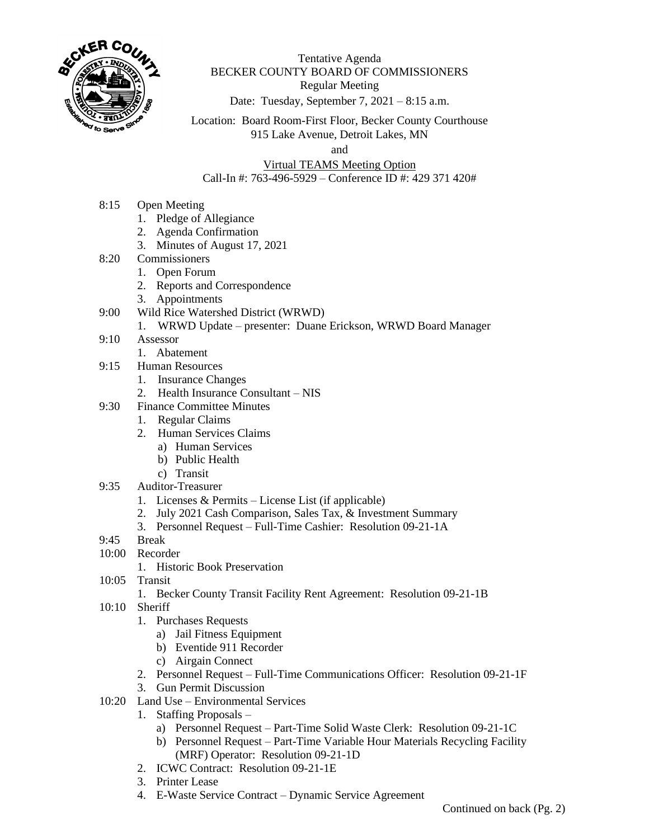

Tentative Agenda BECKER COUNTY BOARD OF COMMISSIONERS Regular Meeting

Date: Tuesday, September 7, 2021 – 8:15 a.m.

Location: Board Room-First Floor, Becker County Courthouse 915 Lake Avenue, Detroit Lakes, MN

and

Virtual TEAMS Meeting Option Call-In #: 763-496-5929 – Conference ID #: 429 371 420#

- 8:15 Open Meeting
	- 1. Pledge of Allegiance
	- 2. Agenda Confirmation
	- 3. Minutes of August 17, 2021
- 8:20 Commissioners
	- 1. Open Forum
		- 2. Reports and Correspondence
		- 3. Appointments
- 9:00 Wild Rice Watershed District (WRWD)
	- 1. WRWD Update presenter: Duane Erickson, WRWD Board Manager
- 9:10 Assessor
	- 1. Abatement
- 9:15 Human Resources
	- 1. Insurance Changes
	- 2. Health Insurance Consultant NIS
- 9:30 Finance Committee Minutes
	- 1. Regular Claims
	- 2. Human Services Claims
		- a) Human Services
		- b) Public Health
		- c) Transit
- 9:35 Auditor-Treasurer
	- 1. Licenses & Permits License List (if applicable)
	- 2. July 2021 Cash Comparison, Sales Tax, & Investment Summary
	- 3. Personnel Request Full-Time Cashier: Resolution 09-21-1A
- 9:45 Break
- 10:00 Recorder
	- 1. Historic Book Preservation
- 10:05 Transit
	- 1. Becker County Transit Facility Rent Agreement: Resolution 09-21-1B
- 10:10 Sheriff
	- 1. Purchases Requests
		- a) Jail Fitness Equipment
		- b) Eventide 911 Recorder
		- c) Airgain Connect
	- 2. Personnel Request Full-Time Communications Officer: Resolution 09-21-1F
	- 3. Gun Permit Discussion
- 10:20 Land Use Environmental Services
	- 1. Staffing Proposals
		- a) Personnel Request Part-Time Solid Waste Clerk: Resolution 09-21-1C
		- b) Personnel Request Part-Time Variable Hour Materials Recycling Facility (MRF) Operator: Resolution 09-21-1D
	- 2. ICWC Contract: Resolution 09-21-1E
	- 3. Printer Lease
	- 4. E-Waste Service Contract Dynamic Service Agreement